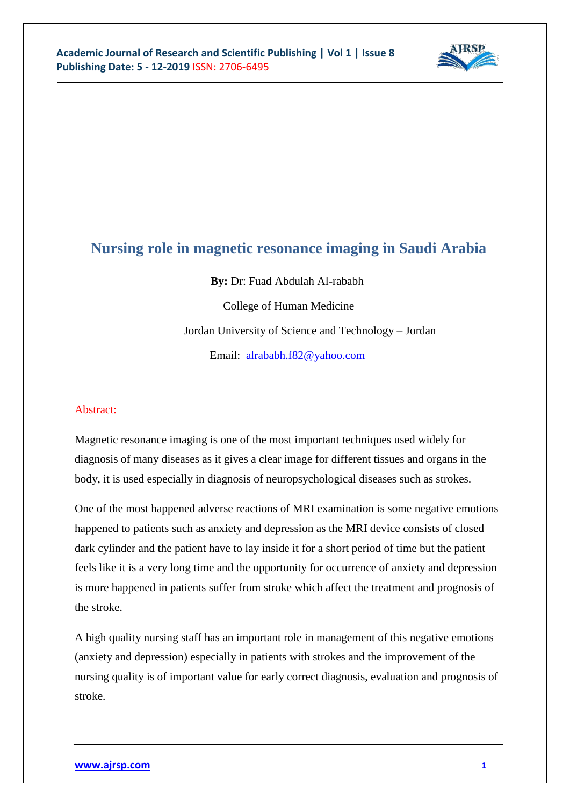

# **Nursing role in magnetic resonance imaging in Saudi Arabia**

**By:** Dr: Fuad Abdulah Al-rababh College of Human Medicine Jordan University of Science and Technology – Jordan Email: [alrababh.f82@yahoo.com](mailto:alrababh.f82@yahoo.com)

### Abstract:

Magnetic resonance imaging is one of the most important techniques used widely for diagnosis of many diseases as it gives a clear image for different tissues and organs in the body, it is used especially in diagnosis of neuropsychological diseases such as strokes.

One of the most happened adverse reactions of MRI examination is some negative emotions happened to patients such as anxiety and depression as the MRI device consists of closed dark cylinder and the patient have to lay inside it for a short period of time but the patient feels like it is a very long time and the opportunity for occurrence of anxiety and depression is more happened in patients suffer from stroke which affect the treatment and prognosis of the stroke.

A high quality nursing staff has an important role in management of this negative emotions (anxiety and depression) especially in patients with strokes and the improvement of the nursing quality is of important value for early correct diagnosis, evaluation and prognosis of stroke.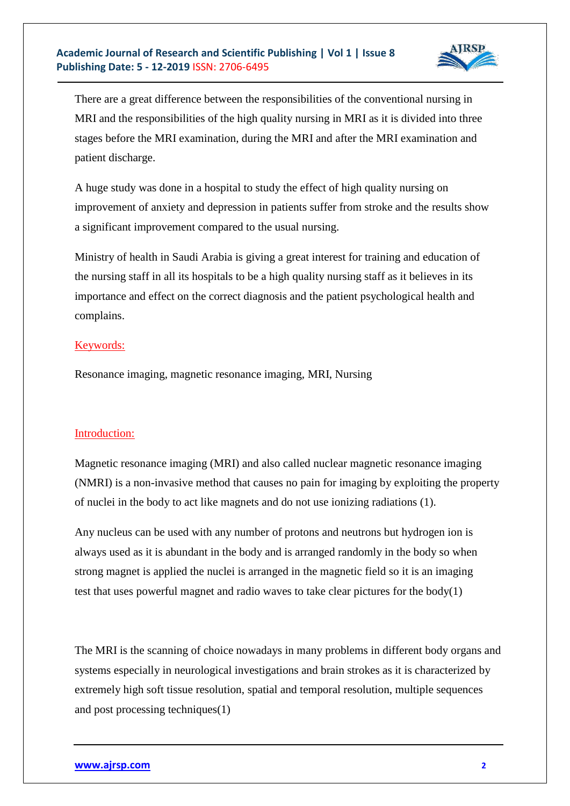

There are a great difference between the responsibilities of the conventional nursing in MRI and the responsibilities of the high quality nursing in MRI as it is divided into three stages before the MRI examination, during the MRI and after the MRI examination and patient discharge.

A huge study was done in a hospital to study the effect of high quality nursing on improvement of anxiety and depression in patients suffer from stroke and the results show a significant improvement compared to the usual nursing.

Ministry of health in Saudi Arabia is giving a great interest for training and education of the nursing staff in all its hospitals to be a high quality nursing staff as it believes in its importance and effect on the correct diagnosis and the patient psychological health and complains.

### Keywords:

Resonance imaging, magnetic resonance imaging, MRI, Nursing

### Introduction:

Magnetic resonance imaging (MRI) and also called nuclear magnetic resonance imaging (NMRI) is a non-invasive method that causes no pain for imaging by exploiting the property of nuclei in the body to act like magnets and do not use ionizing radiations (1).

Any nucleus can be used with any number of protons and neutrons but hydrogen ion is always used as it is abundant in the body and is arranged randomly in the body so when strong magnet is applied the nuclei is arranged in the magnetic field so it is an imaging test that uses powerful magnet and radio waves to take clear pictures for the body(1)

The MRI is the scanning of choice nowadays in many problems in different body organs and systems especially in neurological investigations and brain strokes as it is characterized by extremely high soft tissue resolution, spatial and temporal resolution, multiple sequences and post processing techniques(1)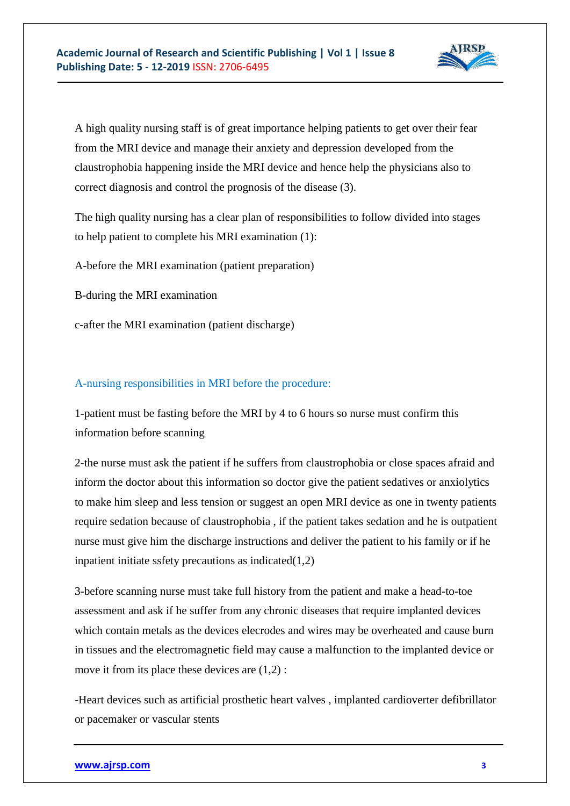

A high quality nursing staff is of great importance helping patients to get over their fear from the MRI device and manage their anxiety and depression developed from the claustrophobia happening inside the MRI device and hence help the physicians also to correct diagnosis and control the prognosis of the disease (3).

The high quality nursing has a clear plan of responsibilities to follow divided into stages to help patient to complete his MRI examination (1):

A-before the MRI examination (patient preparation)

B-during the MRI examination

c-after the MRI examination (patient discharge)

#### A-nursing responsibilities in MRI before the procedure:

1-patient must be fasting before the MRI by 4 to 6 hours so nurse must confirm this information before scanning

2-the nurse must ask the patient if he suffers from claustrophobia or close spaces afraid and inform the doctor about this information so doctor give the patient sedatives or anxiolytics to make him sleep and less tension or suggest an open MRI device as one in twenty patients require sedation because of claustrophobia , if the patient takes sedation and he is outpatient nurse must give him the discharge instructions and deliver the patient to his family or if he inpatient initiate ssfety precautions as indicated(1,2)

3-before scanning nurse must take full history from the patient and make a head-to-toe assessment and ask if he suffer from any chronic diseases that require implanted devices which contain metals as the devices elecrodes and wires may be overheated and cause burn in tissues and the electromagnetic field may cause a malfunction to the implanted device or move it from its place these devices are (1,2) :

-Heart devices such as artificial prosthetic heart valves , implanted cardioverter defibrillator or pacemaker or vascular stents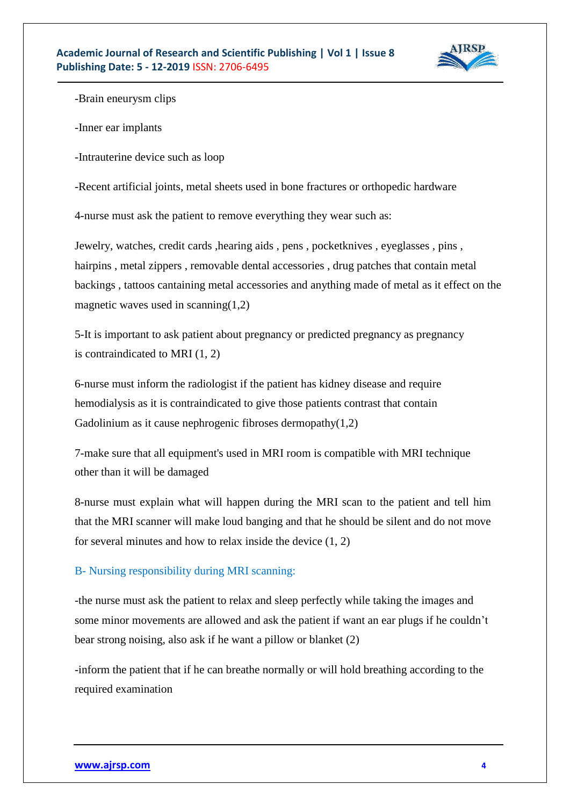

-Brain eneurysm clips

-Inner ear implants

-Intrauterine device such as loop

-Recent artificial joints, metal sheets used in bone fractures or orthopedic hardware

4-nurse must ask the patient to remove everything they wear such as:

Jewelry, watches, credit cards ,hearing aids , pens , pocketknives , eyeglasses , pins , hairpins , metal zippers , removable dental accessories , drug patches that contain metal backings , tattoos cantaining metal accessories and anything made of metal as it effect on the magnetic waves used in scanning $(1,2)$ 

5-It is important to ask patient about pregnancy or predicted pregnancy as pregnancy is contraindicated to MRI (1, 2)

6-nurse must inform the radiologist if the patient has kidney disease and require hemodialysis as it is contraindicated to give those patients contrast that contain Gadolinium as it cause nephrogenic fibroses dermopathy $(1,2)$ 

7-make sure that all equipment's used in MRI room is compatible with MRI technique other than it will be damaged

8-nurse must explain what will happen during the MRI scan to the patient and tell him that the MRI scanner will make loud banging and that he should be silent and do not move for several minutes and how to relax inside the device (1, 2)

## B- Nursing responsibility during MRI scanning:

-the nurse must ask the patient to relax and sleep perfectly while taking the images and some minor movements are allowed and ask the patient if want an ear plugs if he couldn't bear strong noising, also ask if he want a pillow or blanket (2)

-inform the patient that if he can breathe normally or will hold breathing according to the required examination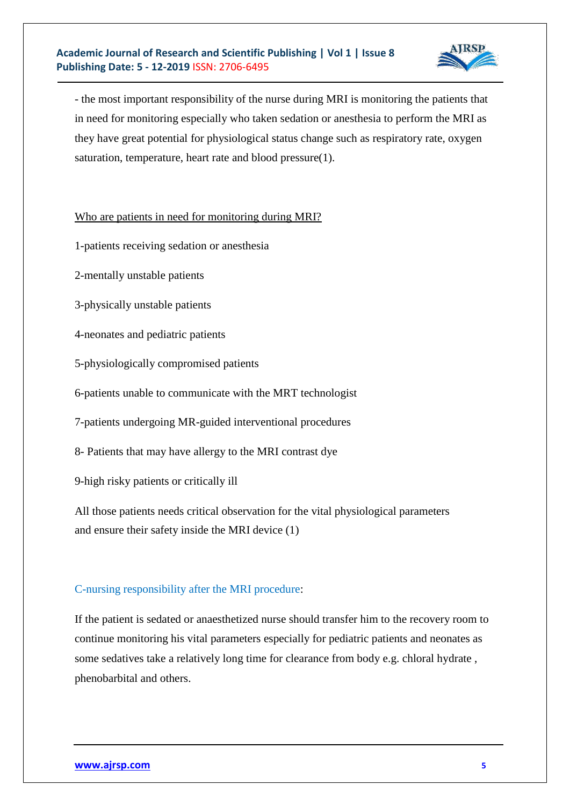

- the most important responsibility of the nurse during MRI is monitoring the patients that in need for monitoring especially who taken sedation or anesthesia to perform the MRI as they have great potential for physiological status change such as respiratory rate, oxygen saturation, temperature, heart rate and blood pressure(1).

Who are patients in need for monitoring during MRI?

- 1-patients receiving sedation or anesthesia
- 2-mentally unstable patients
- 3-physically unstable patients
- 4-neonates and pediatric patients
- 5-physiologically compromised patients
- 6-patients unable to communicate with the MRT technologist
- 7-patients undergoing MR-guided interventional procedures
- 8- Patients that may have allergy to the MRI contrast dye
- 9-high risky patients or critically ill

All those patients needs critical observation for the vital physiological parameters and ensure their safety inside the MRI device (1)

# C-nursing responsibility after the MRI procedure:

If the patient is sedated or anaesthetized nurse should transfer him to the recovery room to continue monitoring his vital parameters especially for pediatric patients and neonates as some sedatives take a relatively long time for clearance from body e.g. chloral hydrate , phenobarbital and others.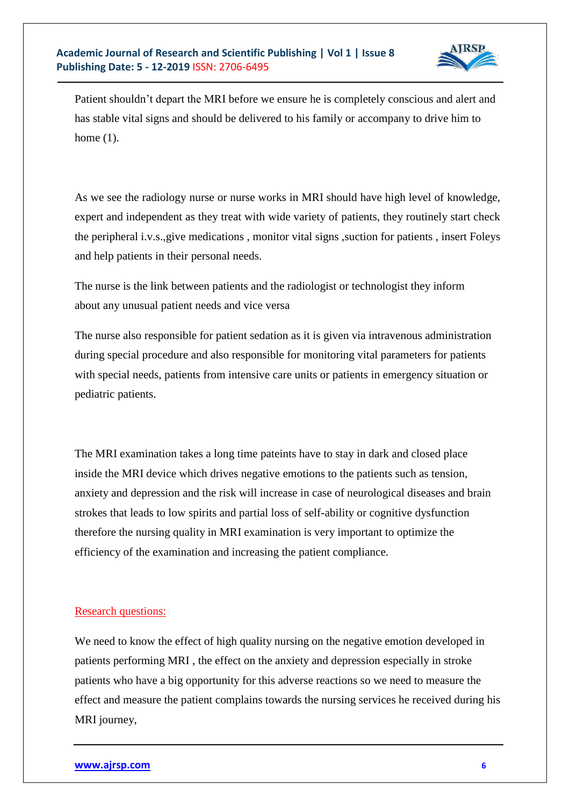

Patient shouldn't depart the MRI before we ensure he is completely conscious and alert and has stable vital signs and should be delivered to his family or accompany to drive him to home (1).

As we see the radiology nurse or nurse works in MRI should have high level of knowledge, expert and independent as they treat with wide variety of patients, they routinely start check the peripheral i.v.s.,give medications , monitor vital signs ,suction for patients , insert Foleys and help patients in their personal needs.

The nurse is the link between patients and the radiologist or technologist they inform about any unusual patient needs and vice versa

The nurse also responsible for patient sedation as it is given via intravenous administration during special procedure and also responsible for monitoring vital parameters for patients with special needs, patients from intensive care units or patients in emergency situation or pediatric patients.

The MRI examination takes a long time pateints have to stay in dark and closed place inside the MRI device which drives negative emotions to the patients such as tension, anxiety and depression and the risk will increase in case of neurological diseases and brain strokes that leads to low spirits and partial loss of self-ability or cognitive dysfunction therefore the nursing quality in MRI examination is very important to optimize the efficiency of the examination and increasing the patient compliance.

### Research questions:

We need to know the effect of high quality nursing on the negative emotion developed in patients performing MRI , the effect on the anxiety and depression especially in stroke patients who have a big opportunity for this adverse reactions so we need to measure the effect and measure the patient complains towards the nursing services he received during his MRI journey,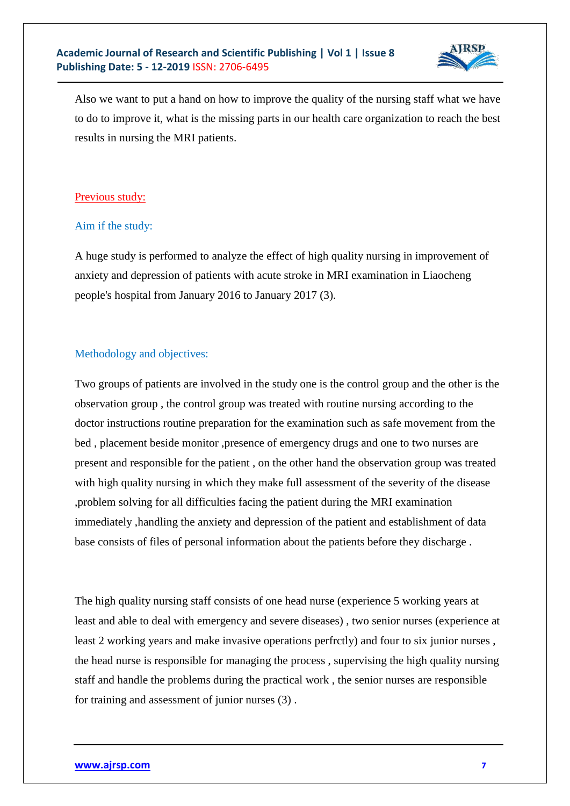

Also we want to put a hand on how to improve the quality of the nursing staff what we have to do to improve it, what is the missing parts in our health care organization to reach the best results in nursing the MRI patients.

## Previous study:

## Aim if the study:

A huge study is performed to analyze the effect of high quality nursing in improvement of anxiety and depression of patients with acute stroke in MRI examination in Liaocheng people's hospital from January 2016 to January 2017 (3).

## Methodology and objectives:

Two groups of patients are involved in the study one is the control group and the other is the observation group , the control group was treated with routine nursing according to the doctor instructions routine preparation for the examination such as safe movement from the bed , placement beside monitor ,presence of emergency drugs and one to two nurses are present and responsible for the patient , on the other hand the observation group was treated with high quality nursing in which they make full assessment of the severity of the disease ,problem solving for all difficulties facing the patient during the MRI examination immediately ,handling the anxiety and depression of the patient and establishment of data base consists of files of personal information about the patients before they discharge .

The high quality nursing staff consists of one head nurse (experience 5 working years at least and able to deal with emergency and severe diseases) , two senior nurses (experience at least 2 working years and make invasive operations perfrctly) and four to six junior nurses , the head nurse is responsible for managing the process , supervising the high quality nursing staff and handle the problems during the practical work , the senior nurses are responsible for training and assessment of junior nurses (3) .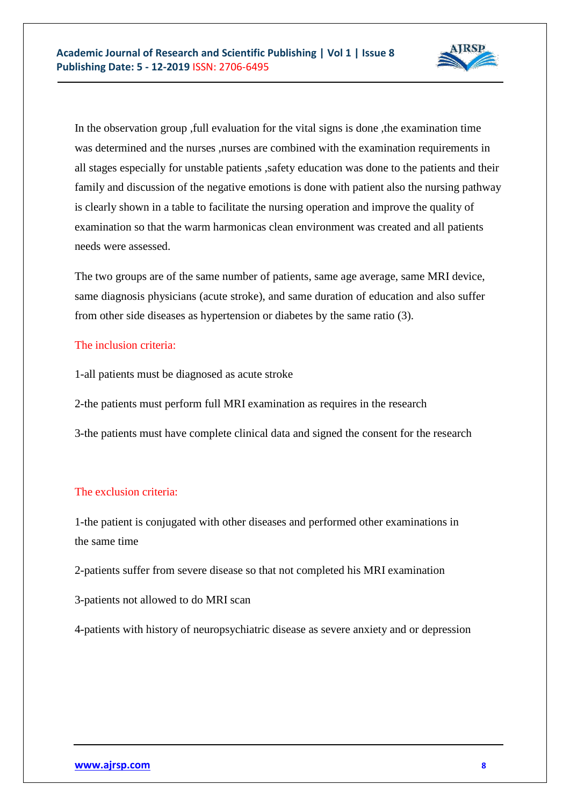

In the observation group ,full evaluation for the vital signs is done ,the examination time was determined and the nurses ,nurses are combined with the examination requirements in all stages especially for unstable patients ,safety education was done to the patients and their family and discussion of the negative emotions is done with patient also the nursing pathway is clearly shown in a table to facilitate the nursing operation and improve the quality of examination so that the warm harmonicas clean environment was created and all patients needs were assessed.

The two groups are of the same number of patients, same age average, same MRI device, same diagnosis physicians (acute stroke), and same duration of education and also suffer from other side diseases as hypertension or diabetes by the same ratio (3).

## The inclusion criteria:

- 1-all patients must be diagnosed as acute stroke
- 2-the patients must perform full MRI examination as requires in the research
- 3-the patients must have complete clinical data and signed the consent for the research

# The exclusion criteria:

1-the patient is conjugated with other diseases and performed other examinations in the same time

- 2-patients suffer from severe disease so that not completed his MRI examination
- 3-patients not allowed to do MRI scan

4-patients with history of neuropsychiatric disease as severe anxiety and or depression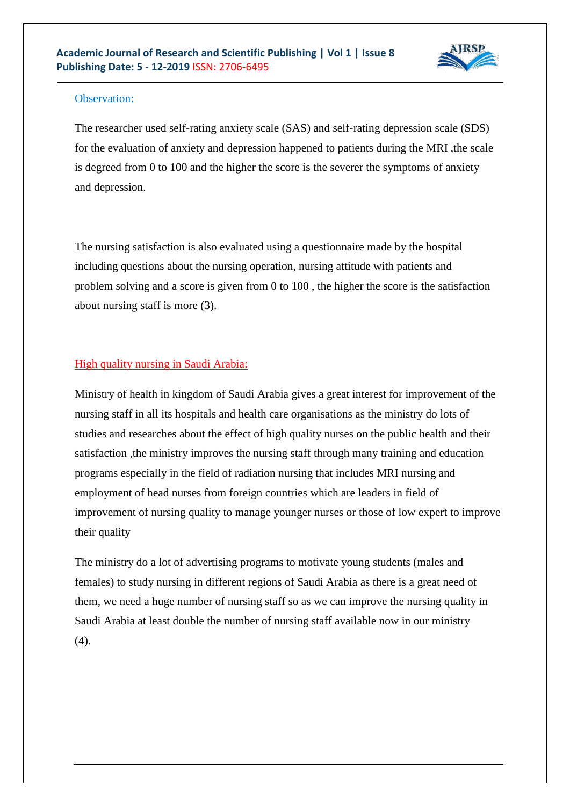

### Observation:

The researcher used self-rating anxiety scale (SAS) and self-rating depression scale (SDS) for the evaluation of anxiety and depression happened to patients during the MRI ,the scale is degreed from 0 to 100 and the higher the score is the severer the symptoms of anxiety and depression.

The nursing satisfaction is also evaluated using a questionnaire made by the hospital including questions about the nursing operation, nursing attitude with patients and problem solving and a score is given from 0 to 100 , the higher the score is the satisfaction about nursing staff is more (3).

## High quality nursing in Saudi Arabia:

Ministry of health in kingdom of Saudi Arabia gives a great interest for improvement of the nursing staff in all its hospitals and health care organisations as the ministry do lots of studies and researches about the effect of high quality nurses on the public health and their satisfaction ,the ministry improves the nursing staff through many training and education programs especially in the field of radiation nursing that includes MRI nursing and employment of head nurses from foreign countries which are leaders in field of improvement of nursing quality to manage younger nurses or those of low expert to improve their quality

The ministry do a lot of advertising programs to motivate young students (males and females) to study nursing in different regions of Saudi Arabia as there is a great need of them, we need a huge number of nursing staff so as we can improve the nursing quality in Saudi Arabia at least double the number of nursing staff available now in our ministry (4).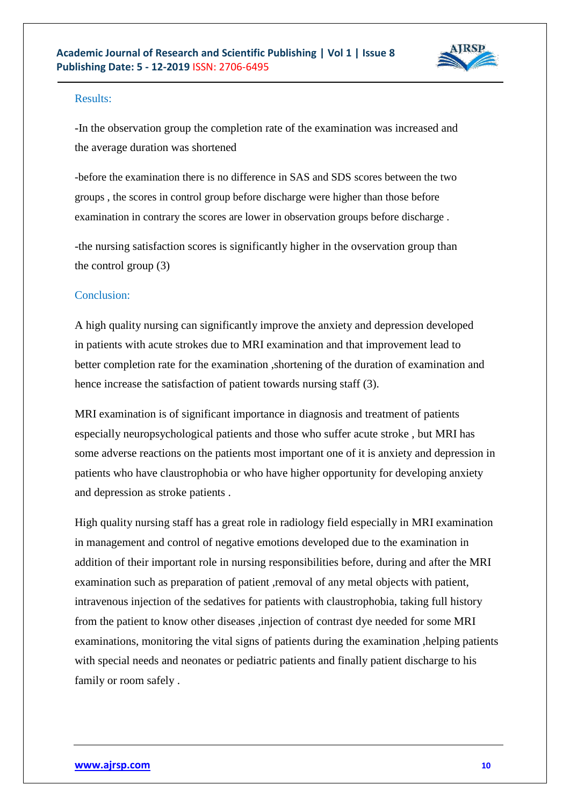

### Results:

-In the observation group the completion rate of the examination was increased and the average duration was shortened

-before the examination there is no difference in SAS and SDS scores between the two groups , the scores in control group before discharge were higher than those before examination in contrary the scores are lower in observation groups before discharge .

-the nursing satisfaction scores is significantly higher in the ovservation group than the control group (3)

### Conclusion:

A high quality nursing can significantly improve the anxiety and depression developed in patients with acute strokes due to MRI examination and that improvement lead to better completion rate for the examination ,shortening of the duration of examination and hence increase the satisfaction of patient towards nursing staff (3).

MRI examination is of significant importance in diagnosis and treatment of patients especially neuropsychological patients and those who suffer acute stroke , but MRI has some adverse reactions on the patients most important one of it is anxiety and depression in patients who have claustrophobia or who have higher opportunity for developing anxiety and depression as stroke patients .

High quality nursing staff has a great role in radiology field especially in MRI examination in management and control of negative emotions developed due to the examination in addition of their important role in nursing responsibilities before, during and after the MRI examination such as preparation of patient, removal of any metal objects with patient, intravenous injection of the sedatives for patients with claustrophobia, taking full history from the patient to know other diseases ,injection of contrast dye needed for some MRI examinations, monitoring the vital signs of patients during the examination ,helping patients with special needs and neonates or pediatric patients and finally patient discharge to his family or room safely .